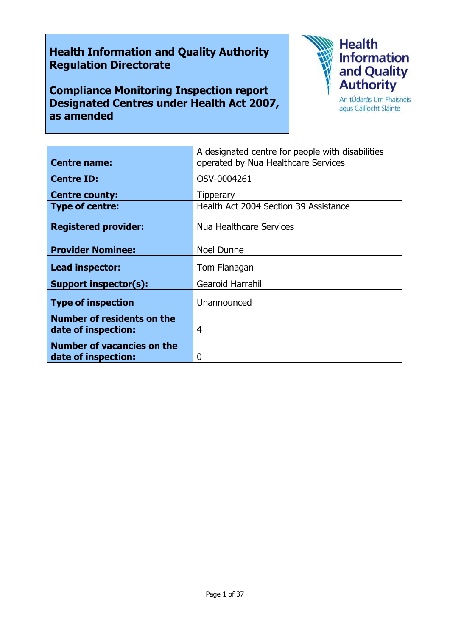# **Health Information and Quality Authority Regulation Directorate**

**Compliance Monitoring Inspection report Designated Centres under Health Act 2007, as amended**



agus Cáilíocht Sláinte

| <b>Centre name:</b>                                      | A designated centre for people with disabilities<br>operated by Nua Healthcare Services |
|----------------------------------------------------------|-----------------------------------------------------------------------------------------|
|                                                          |                                                                                         |
| <b>Centre ID:</b>                                        | OSV-0004261                                                                             |
| <b>Centre county:</b>                                    | <b>Tipperary</b>                                                                        |
| <b>Type of centre:</b>                                   | Health Act 2004 Section 39 Assistance                                                   |
| <b>Registered provider:</b>                              | Nua Healthcare Services                                                                 |
| <b>Provider Nominee:</b>                                 | <b>Noel Dunne</b>                                                                       |
| Lead inspector:                                          | Tom Flanagan                                                                            |
| <b>Support inspector(s):</b>                             | <b>Gearoid Harrahill</b>                                                                |
| <b>Type of inspection</b>                                | Unannounced                                                                             |
| <b>Number of residents on the</b><br>date of inspection: | 4                                                                                       |
| <b>Number of vacancies on the</b><br>date of inspection: | 0                                                                                       |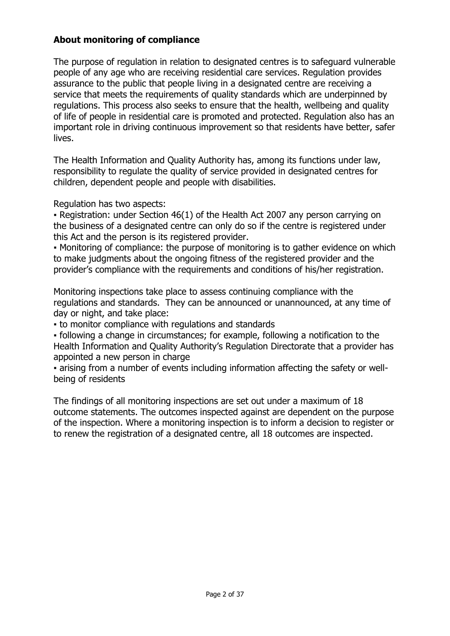# **About monitoring of compliance**

The purpose of regulation in relation to designated centres is to safeguard vulnerable people of any age who are receiving residential care services. Regulation provides assurance to the public that people living in a designated centre are receiving a service that meets the requirements of quality standards which are underpinned by regulations. This process also seeks to ensure that the health, wellbeing and quality of life of people in residential care is promoted and protected. Regulation also has an important role in driving continuous improvement so that residents have better, safer lives.

The Health Information and Quality Authority has, among its functions under law, responsibility to regulate the quality of service provided in designated centres for children, dependent people and people with disabilities.

Regulation has two aspects:

• Registration: under Section 46(1) of the Health Act 2007 any person carrying on the business of a designated centre can only do so if the centre is registered under this Act and the person is its registered provider.

▪ Monitoring of compliance: the purpose of monitoring is to gather evidence on which to make judgments about the ongoing fitness of the registered provider and the provider's compliance with the requirements and conditions of his/her registration.

Monitoring inspections take place to assess continuing compliance with the regulations and standards. They can be announced or unannounced, at any time of day or night, and take place:

▪ to monitor compliance with regulations and standards

▪ following a change in circumstances; for example, following a notification to the Health Information and Quality Authority's Regulation Directorate that a provider has appointed a new person in charge

▪ arising from a number of events including information affecting the safety or wellbeing of residents

The findings of all monitoring inspections are set out under a maximum of 18 outcome statements. The outcomes inspected against are dependent on the purpose of the inspection. Where a monitoring inspection is to inform a decision to register or to renew the registration of a designated centre, all 18 outcomes are inspected.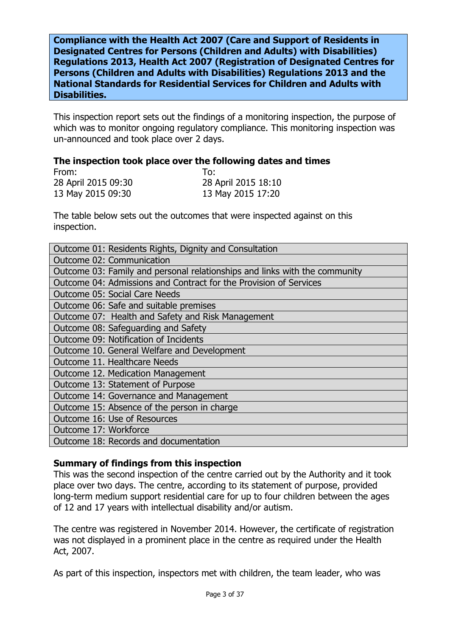**Compliance with the Health Act 2007 (Care and Support of Residents in Designated Centres for Persons (Children and Adults) with Disabilities) Regulations 2013, Health Act 2007 (Registration of Designated Centres for Persons (Children and Adults with Disabilities) Regulations 2013 and the National Standards for Residential Services for Children and Adults with Disabilities.**

This inspection report sets out the findings of a monitoring inspection, the purpose of which was to monitor ongoing regulatory compliance. This monitoring inspection was un-announced and took place over 2 days.

#### **The inspection took place over the following dates and times**

| From:               | To:                 |
|---------------------|---------------------|
| 28 April 2015 09:30 | 28 April 2015 18:10 |
| 13 May 2015 09:30   | 13 May 2015 17:20   |

The table below sets out the outcomes that were inspected against on this inspection.

| Outcome 01: Residents Rights, Dignity and Consultation                     |
|----------------------------------------------------------------------------|
| Outcome 02: Communication                                                  |
| Outcome 03: Family and personal relationships and links with the community |
| Outcome 04: Admissions and Contract for the Provision of Services          |
| Outcome 05: Social Care Needs                                              |
| Outcome 06: Safe and suitable premises                                     |
| Outcome 07: Health and Safety and Risk Management                          |
| Outcome 08: Safeguarding and Safety                                        |
| Outcome 09: Notification of Incidents                                      |
| Outcome 10. General Welfare and Development                                |
| Outcome 11. Healthcare Needs                                               |
| Outcome 12. Medication Management                                          |
| Outcome 13: Statement of Purpose                                           |
| Outcome 14: Governance and Management                                      |
| Outcome 15: Absence of the person in charge                                |
| Outcome 16: Use of Resources                                               |
| Outcome 17: Workforce                                                      |
| Outcome 18: Records and documentation                                      |

### **Summary of findings from this inspection**

This was the second inspection of the centre carried out by the Authority and it took place over two days. The centre, according to its statement of purpose, provided long-term medium support residential care for up to four children between the ages of 12 and 17 years with intellectual disability and/or autism.

The centre was registered in November 2014. However, the certificate of registration was not displayed in a prominent place in the centre as required under the Health Act, 2007.

As part of this inspection, inspectors met with children, the team leader, who was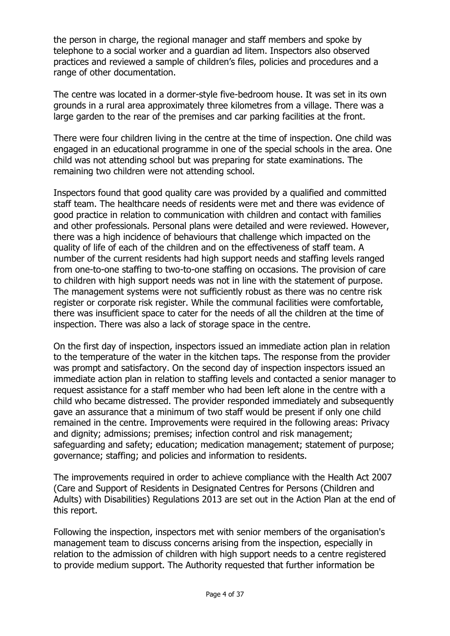the person in charge, the regional manager and staff members and spoke by telephone to a social worker and a guardian ad litem. Inspectors also observed practices and reviewed a sample of children's files, policies and procedures and a range of other documentation.

The centre was located in a dormer-style five-bedroom house. It was set in its own grounds in a rural area approximately three kilometres from a village. There was a large garden to the rear of the premises and car parking facilities at the front.

There were four children living in the centre at the time of inspection. One child was engaged in an educational programme in one of the special schools in the area. One child was not attending school but was preparing for state examinations. The remaining two children were not attending school.

Inspectors found that good quality care was provided by a qualified and committed staff team. The healthcare needs of residents were met and there was evidence of good practice in relation to communication with children and contact with families and other professionals. Personal plans were detailed and were reviewed. However, there was a high incidence of behaviours that challenge which impacted on the quality of life of each of the children and on the effectiveness of staff team. A number of the current residents had high support needs and staffing levels ranged from one-to-one staffing to two-to-one staffing on occasions. The provision of care to children with high support needs was not in line with the statement of purpose. The management systems were not sufficiently robust as there was no centre risk register or corporate risk register. While the communal facilities were comfortable, there was insufficient space to cater for the needs of all the children at the time of inspection. There was also a lack of storage space in the centre.

On the first day of inspection, inspectors issued an immediate action plan in relation to the temperature of the water in the kitchen taps. The response from the provider was prompt and satisfactory. On the second day of inspection inspectors issued an immediate action plan in relation to staffing levels and contacted a senior manager to request assistance for a staff member who had been left alone in the centre with a child who became distressed. The provider responded immediately and subsequently gave an assurance that a minimum of two staff would be present if only one child remained in the centre. Improvements were required in the following areas: Privacy and dignity; admissions; premises; infection control and risk management; safeguarding and safety; education; medication management; statement of purpose; governance; staffing; and policies and information to residents.

The improvements required in order to achieve compliance with the Health Act 2007 (Care and Support of Residents in Designated Centres for Persons (Children and Adults) with Disabilities) Regulations 2013 are set out in the Action Plan at the end of this report.

Following the inspection, inspectors met with senior members of the organisation's management team to discuss concerns arising from the inspection, especially in relation to the admission of children with high support needs to a centre registered to provide medium support. The Authority requested that further information be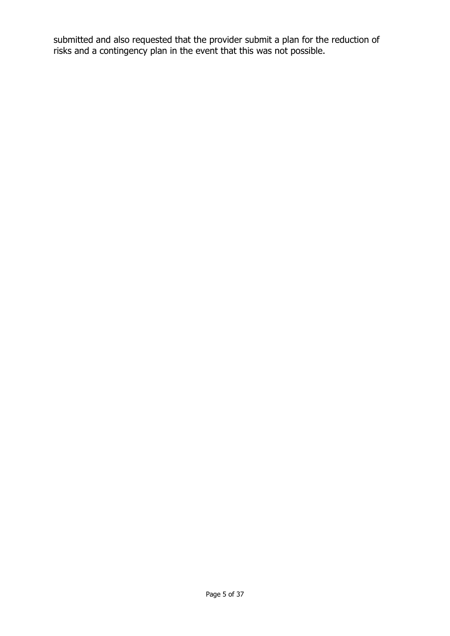submitted and also requested that the provider submit a plan for the reduction of risks and a contingency plan in the event that this was not possible.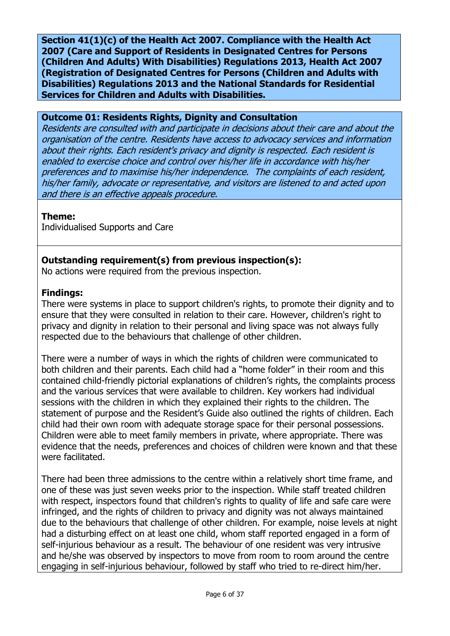**Section 41(1)(c) of the Health Act 2007. Compliance with the Health Act 2007 (Care and Support of Residents in Designated Centres for Persons (Children And Adults) With Disabilities) Regulations 2013, Health Act 2007 (Registration of Designated Centres for Persons (Children and Adults with Disabilities) Regulations 2013 and the National Standards for Residential Services for Children and Adults with Disabilities.**

### **Outcome 01: Residents Rights, Dignity and Consultation**

Residents are consulted with and participate in decisions about their care and about the organisation of the centre. Residents have access to advocacy services and information about their rights. Each resident's privacy and dignity is respected. Each resident is enabled to exercise choice and control over his/her life in accordance with his/her preferences and to maximise his/her independence. The complaints of each resident, his/her family, advocate or representative, and visitors are listened to and acted upon and there is an effective appeals procedure.

# **Theme:**

Individualised Supports and Care

# **Outstanding requirement(s) from previous inspection(s):**

No actions were required from the previous inspection.

# **Findings:**

There were systems in place to support children's rights, to promote their dignity and to ensure that they were consulted in relation to their care. However, children's right to privacy and dignity in relation to their personal and living space was not always fully respected due to the behaviours that challenge of other children.

There were a number of ways in which the rights of children were communicated to both children and their parents. Each child had a "home folder" in their room and this contained child-friendly pictorial explanations of children's rights, the complaints process and the various services that were available to children. Key workers had individual sessions with the children in which they explained their rights to the children. The statement of purpose and the Resident's Guide also outlined the rights of children. Each child had their own room with adequate storage space for their personal possessions. Children were able to meet family members in private, where appropriate. There was evidence that the needs, preferences and choices of children were known and that these were facilitated.

There had been three admissions to the centre within a relatively short time frame, and one of these was just seven weeks prior to the inspection. While staff treated children with respect, inspectors found that children's rights to quality of life and safe care were infringed, and the rights of children to privacy and dignity was not always maintained due to the behaviours that challenge of other children. For example, noise levels at night had a disturbing effect on at least one child, whom staff reported engaged in a form of self-injurious behaviour as a result. The behaviour of one resident was very intrusive and he/she was observed by inspectors to move from room to room around the centre engaging in self-injurious behaviour, followed by staff who tried to re-direct him/her.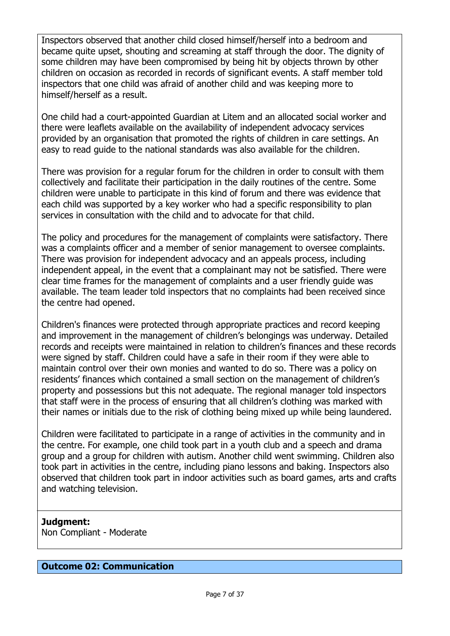Inspectors observed that another child closed himself/herself into a bedroom and became quite upset, shouting and screaming at staff through the door. The dignity of some children may have been compromised by being hit by objects thrown by other children on occasion as recorded in records of significant events. A staff member told inspectors that one child was afraid of another child and was keeping more to himself/herself as a result.

One child had a court-appointed Guardian at Litem and an allocated social worker and there were leaflets available on the availability of independent advocacy services provided by an organisation that promoted the rights of children in care settings. An easy to read guide to the national standards was also available for the children.

There was provision for a regular forum for the children in order to consult with them collectively and facilitate their participation in the daily routines of the centre. Some children were unable to participate in this kind of forum and there was evidence that each child was supported by a key worker who had a specific responsibility to plan services in consultation with the child and to advocate for that child.

The policy and procedures for the management of complaints were satisfactory. There was a complaints officer and a member of senior management to oversee complaints. There was provision for independent advocacy and an appeals process, including independent appeal, in the event that a complainant may not be satisfied. There were clear time frames for the management of complaints and a user friendly guide was available. The team leader told inspectors that no complaints had been received since the centre had opened.

Children's finances were protected through appropriate practices and record keeping and improvement in the management of children's belongings was underway. Detailed records and receipts were maintained in relation to children's finances and these records were signed by staff. Children could have a safe in their room if they were able to maintain control over their own monies and wanted to do so. There was a policy on residents' finances which contained a small section on the management of children's property and possessions but this not adequate. The regional manager told inspectors that staff were in the process of ensuring that all children's clothing was marked with their names or initials due to the risk of clothing being mixed up while being laundered.

Children were facilitated to participate in a range of activities in the community and in the centre. For example, one child took part in a youth club and a speech and drama group and a group for children with autism. Another child went swimming. Children also took part in activities in the centre, including piano lessons and baking. Inspectors also observed that children took part in indoor activities such as board games, arts and crafts and watching television.

# **Judgment:**

Non Compliant - Moderate

#### **Outcome 02: Communication**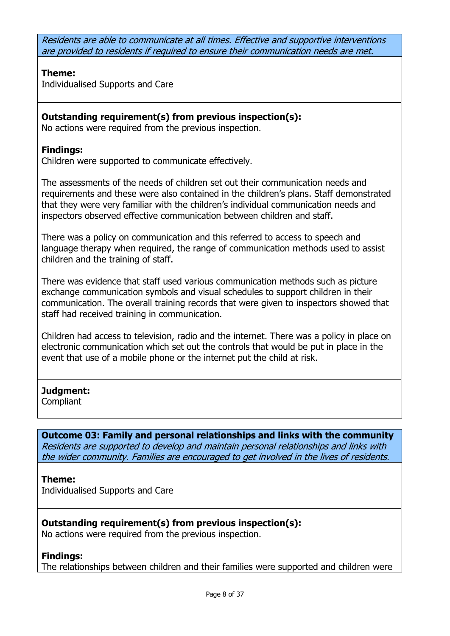Residents are able to communicate at all times. Effective and supportive interventions are provided to residents if required to ensure their communication needs are met.

# **Theme:**

Individualised Supports and Care

# **Outstanding requirement(s) from previous inspection(s):**

No actions were required from the previous inspection.

# **Findings:**

Children were supported to communicate effectively.

The assessments of the needs of children set out their communication needs and requirements and these were also contained in the children's plans. Staff demonstrated that they were very familiar with the children's individual communication needs and inspectors observed effective communication between children and staff.

There was a policy on communication and this referred to access to speech and language therapy when required, the range of communication methods used to assist children and the training of staff.

There was evidence that staff used various communication methods such as picture exchange communication symbols and visual schedules to support children in their communication. The overall training records that were given to inspectors showed that staff had received training in communication.

Children had access to television, radio and the internet. There was a policy in place on electronic communication which set out the controls that would be put in place in the event that use of a mobile phone or the internet put the child at risk.

# **Judgment:**

**Compliant** 

**Outcome 03: Family and personal relationships and links with the community** Residents are supported to develop and maintain personal relationships and links with the wider community. Families are encouraged to get involved in the lives of residents.

### **Theme:**

Individualised Supports and Care

# **Outstanding requirement(s) from previous inspection(s):**

No actions were required from the previous inspection.

# **Findings:**

The relationships between children and their families were supported and children were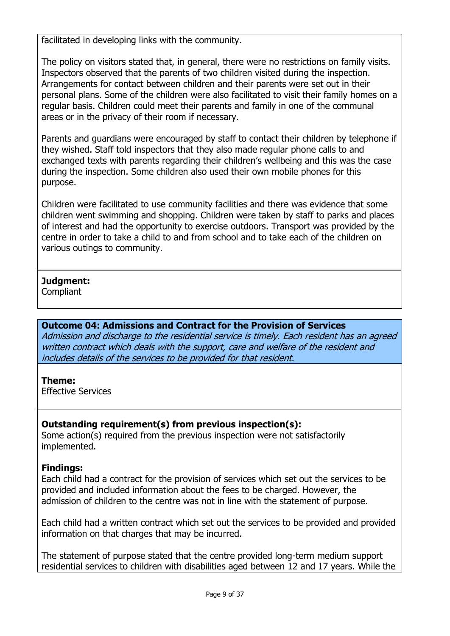facilitated in developing links with the community.

The policy on visitors stated that, in general, there were no restrictions on family visits. Inspectors observed that the parents of two children visited during the inspection. Arrangements for contact between children and their parents were set out in their personal plans. Some of the children were also facilitated to visit their family homes on a regular basis. Children could meet their parents and family in one of the communal areas or in the privacy of their room if necessary.

Parents and guardians were encouraged by staff to contact their children by telephone if they wished. Staff told inspectors that they also made regular phone calls to and exchanged texts with parents regarding their children's wellbeing and this was the case during the inspection. Some children also used their own mobile phones for this purpose.

Children were facilitated to use community facilities and there was evidence that some children went swimming and shopping. Children were taken by staff to parks and places of interest and had the opportunity to exercise outdoors. Transport was provided by the centre in order to take a child to and from school and to take each of the children on various outings to community.

# **Judgment:**

**Compliant** 

# **Outcome 04: Admissions and Contract for the Provision of Services**

Admission and discharge to the residential service is timely. Each resident has an agreed written contract which deals with the support, care and welfare of the resident and includes details of the services to be provided for that resident.

### **Theme:**

Effective Services

# **Outstanding requirement(s) from previous inspection(s):**

Some action(s) required from the previous inspection were not satisfactorily implemented.

# **Findings:**

Each child had a contract for the provision of services which set out the services to be provided and included information about the fees to be charged. However, the admission of children to the centre was not in line with the statement of purpose.

Each child had a written contract which set out the services to be provided and provided information on that charges that may be incurred.

The statement of purpose stated that the centre provided long-term medium support residential services to children with disabilities aged between 12 and 17 years. While the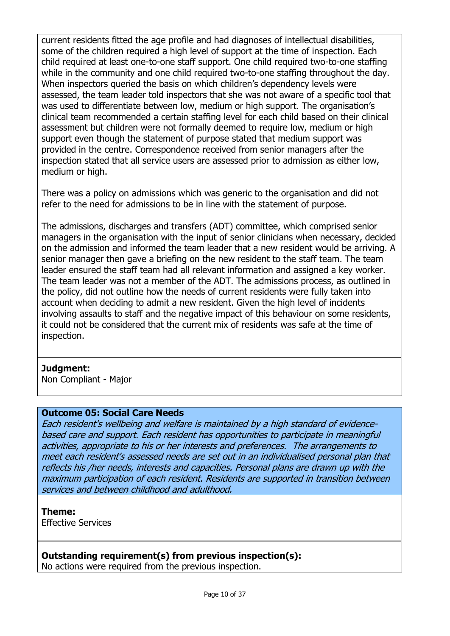current residents fitted the age profile and had diagnoses of intellectual disabilities, some of the children required a high level of support at the time of inspection. Each child required at least one-to-one staff support. One child required two-to-one staffing while in the community and one child required two-to-one staffing throughout the day. When inspectors queried the basis on which children's dependency levels were assessed, the team leader told inspectors that she was not aware of a specific tool that was used to differentiate between low, medium or high support. The organisation's clinical team recommended a certain staffing level for each child based on their clinical assessment but children were not formally deemed to require low, medium or high support even though the statement of purpose stated that medium support was provided in the centre. Correspondence received from senior managers after the inspection stated that all service users are assessed prior to admission as either low, medium or high.

There was a policy on admissions which was generic to the organisation and did not refer to the need for admissions to be in line with the statement of purpose.

The admissions, discharges and transfers (ADT) committee, which comprised senior managers in the organisation with the input of senior clinicians when necessary, decided on the admission and informed the team leader that a new resident would be arriving. A senior manager then gave a briefing on the new resident to the staff team. The team leader ensured the staff team had all relevant information and assigned a key worker. The team leader was not a member of the ADT. The admissions process, as outlined in the policy, did not outline how the needs of current residents were fully taken into account when deciding to admit a new resident. Given the high level of incidents involving assaults to staff and the negative impact of this behaviour on some residents, it could not be considered that the current mix of residents was safe at the time of inspection.

#### **Judgment:**

Non Compliant - Major

#### **Outcome 05: Social Care Needs**

Each resident's wellbeing and welfare is maintained by a high standard of evidencebased care and support. Each resident has opportunities to participate in meaningful activities, appropriate to his or her interests and preferences. The arrangements to meet each resident's assessed needs are set out in an individualised personal plan that reflects his /her needs, interests and capacities. Personal plans are drawn up with the maximum participation of each resident. Residents are supported in transition between services and between childhood and adulthood.

### **Theme:**

Effective Services

### **Outstanding requirement(s) from previous inspection(s):**

No actions were required from the previous inspection.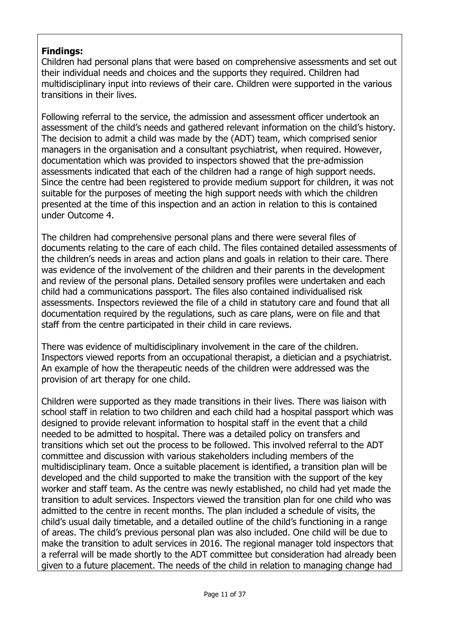# **Findings:**

Children had personal plans that were based on comprehensive assessments and set out their individual needs and choices and the supports they required. Children had multidisciplinary input into reviews of their care. Children were supported in the various transitions in their lives.

Following referral to the service, the admission and assessment officer undertook an assessment of the child's needs and gathered relevant information on the child's history. The decision to admit a child was made by the (ADT) team, which comprised senior managers in the organisation and a consultant psychiatrist, when required. However, documentation which was provided to inspectors showed that the pre-admission assessments indicated that each of the children had a range of high support needs. Since the centre had been registered to provide medium support for children, it was not suitable for the purposes of meeting the high support needs with which the children presented at the time of this inspection and an action in relation to this is contained under Outcome 4.

The children had comprehensive personal plans and there were several files of documents relating to the care of each child. The files contained detailed assessments of the children's needs in areas and action plans and goals in relation to their care. There was evidence of the involvement of the children and their parents in the development and review of the personal plans. Detailed sensory profiles were undertaken and each child had a communications passport. The files also contained individualised risk assessments. Inspectors reviewed the file of a child in statutory care and found that all documentation required by the regulations, such as care plans, were on file and that staff from the centre participated in their child in care reviews.

There was evidence of multidisciplinary involvement in the care of the children. Inspectors viewed reports from an occupational therapist, a dietician and a psychiatrist. An example of how the therapeutic needs of the children were addressed was the provision of art therapy for one child.

Children were supported as they made transitions in their lives. There was liaison with school staff in relation to two children and each child had a hospital passport which was designed to provide relevant information to hospital staff in the event that a child needed to be admitted to hospital. There was a detailed policy on transfers and transitions which set out the process to be followed. This involved referral to the ADT committee and discussion with various stakeholders including members of the multidisciplinary team. Once a suitable placement is identified, a transition plan will be developed and the child supported to make the transition with the support of the key worker and staff team. As the centre was newly established, no child had yet made the transition to adult services. Inspectors viewed the transition plan for one child who was admitted to the centre in recent months. The plan included a schedule of visits, the child's usual daily timetable, and a detailed outline of the child's functioning in a range of areas. The child's previous personal plan was also included. One child will be due to make the transition to adult services in 2016. The regional manager told inspectors that a referral will be made shortly to the ADT committee but consideration had already been given to a future placement. The needs of the child in relation to managing change had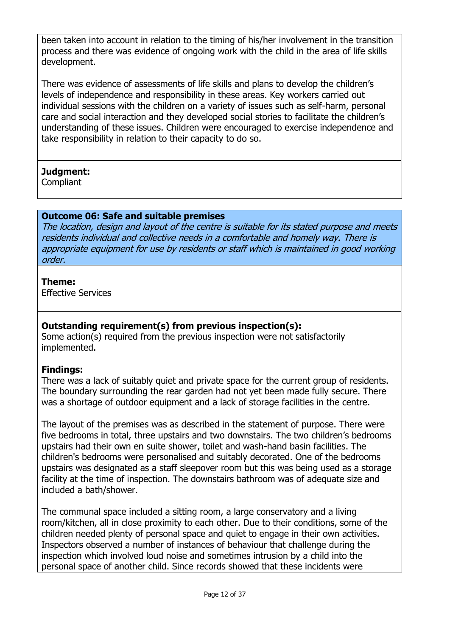been taken into account in relation to the timing of his/her involvement in the transition process and there was evidence of ongoing work with the child in the area of life skills development.

There was evidence of assessments of life skills and plans to develop the children's levels of independence and responsibility in these areas. Key workers carried out individual sessions with the children on a variety of issues such as self-harm, personal care and social interaction and they developed social stories to facilitate the children's understanding of these issues. Children were encouraged to exercise independence and take responsibility in relation to their capacity to do so.

# **Judgment:**

**Compliant** 

# **Outcome 06: Safe and suitable premises**

The location, design and layout of the centre is suitable for its stated purpose and meets residents individual and collective needs in a comfortable and homely way. There is appropriate equipment for use by residents or staff which is maintained in good working order.

### **Theme:**

Effective Services

# **Outstanding requirement(s) from previous inspection(s):**

Some action(s) required from the previous inspection were not satisfactorily implemented.

# **Findings:**

There was a lack of suitably quiet and private space for the current group of residents. The boundary surrounding the rear garden had not yet been made fully secure. There was a shortage of outdoor equipment and a lack of storage facilities in the centre.

The layout of the premises was as described in the statement of purpose. There were five bedrooms in total, three upstairs and two downstairs. The two children's bedrooms upstairs had their own en suite shower, toilet and wash-hand basin facilities. The children's bedrooms were personalised and suitably decorated. One of the bedrooms upstairs was designated as a staff sleepover room but this was being used as a storage facility at the time of inspection. The downstairs bathroom was of adequate size and included a bath/shower.

The communal space included a sitting room, a large conservatory and a living room/kitchen, all in close proximity to each other. Due to their conditions, some of the children needed plenty of personal space and quiet to engage in their own activities. Inspectors observed a number of instances of behaviour that challenge during the inspection which involved loud noise and sometimes intrusion by a child into the personal space of another child. Since records showed that these incidents were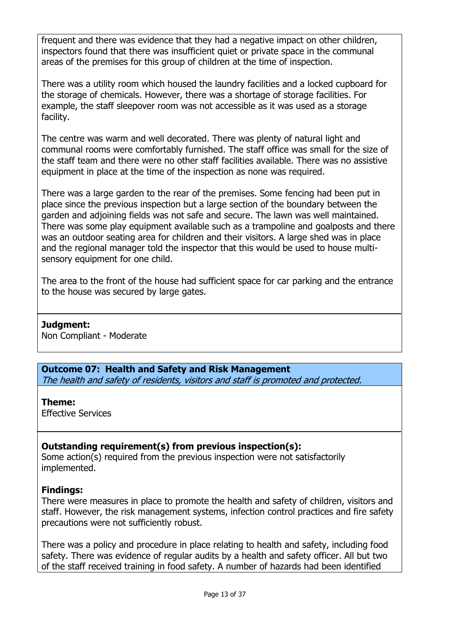frequent and there was evidence that they had a negative impact on other children, inspectors found that there was insufficient quiet or private space in the communal areas of the premises for this group of children at the time of inspection.

There was a utility room which housed the laundry facilities and a locked cupboard for the storage of chemicals. However, there was a shortage of storage facilities. For example, the staff sleepover room was not accessible as it was used as a storage facility.

The centre was warm and well decorated. There was plenty of natural light and communal rooms were comfortably furnished. The staff office was small for the size of the staff team and there were no other staff facilities available. There was no assistive equipment in place at the time of the inspection as none was required.

There was a large garden to the rear of the premises. Some fencing had been put in place since the previous inspection but a large section of the boundary between the garden and adjoining fields was not safe and secure. The lawn was well maintained. There was some play equipment available such as a trampoline and goalposts and there was an outdoor seating area for children and their visitors. A large shed was in place and the regional manager told the inspector that this would be used to house multisensory equipment for one child.

The area to the front of the house had sufficient space for car parking and the entrance to the house was secured by large gates.

### **Judgment:**

Non Compliant - Moderate

**Outcome 07: Health and Safety and Risk Management** The health and safety of residents, visitors and staff is promoted and protected.

#### **Theme:**

Effective Services

# **Outstanding requirement(s) from previous inspection(s):**

Some action(s) required from the previous inspection were not satisfactorily implemented.

# **Findings:**

There were measures in place to promote the health and safety of children, visitors and staff. However, the risk management systems, infection control practices and fire safety precautions were not sufficiently robust.

There was a policy and procedure in place relating to health and safety, including food safety. There was evidence of regular audits by a health and safety officer. All but two of the staff received training in food safety. A number of hazards had been identified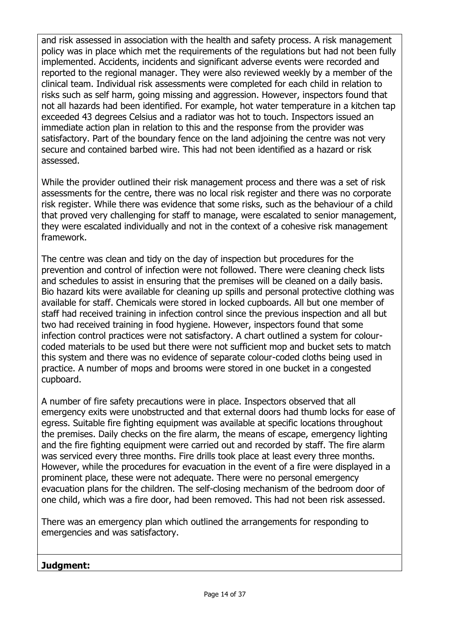and risk assessed in association with the health and safety process. A risk management policy was in place which met the requirements of the regulations but had not been fully implemented. Accidents, incidents and significant adverse events were recorded and reported to the regional manager. They were also reviewed weekly by a member of the clinical team. Individual risk assessments were completed for each child in relation to risks such as self harm, going missing and aggression. However, inspectors found that not all hazards had been identified. For example, hot water temperature in a kitchen tap exceeded 43 degrees Celsius and a radiator was hot to touch. Inspectors issued an immediate action plan in relation to this and the response from the provider was satisfactory. Part of the boundary fence on the land adjoining the centre was not very secure and contained barbed wire. This had not been identified as a hazard or risk assessed.

While the provider outlined their risk management process and there was a set of risk assessments for the centre, there was no local risk register and there was no corporate risk register. While there was evidence that some risks, such as the behaviour of a child that proved very challenging for staff to manage, were escalated to senior management, they were escalated individually and not in the context of a cohesive risk management framework.

The centre was clean and tidy on the day of inspection but procedures for the prevention and control of infection were not followed. There were cleaning check lists and schedules to assist in ensuring that the premises will be cleaned on a daily basis. Bio hazard kits were available for cleaning up spills and personal protective clothing was available for staff. Chemicals were stored in locked cupboards. All but one member of staff had received training in infection control since the previous inspection and all but two had received training in food hygiene. However, inspectors found that some infection control practices were not satisfactory. A chart outlined a system for colourcoded materials to be used but there were not sufficient mop and bucket sets to match this system and there was no evidence of separate colour-coded cloths being used in practice. A number of mops and brooms were stored in one bucket in a congested cupboard.

A number of fire safety precautions were in place. Inspectors observed that all emergency exits were unobstructed and that external doors had thumb locks for ease of egress. Suitable fire fighting equipment was available at specific locations throughout the premises. Daily checks on the fire alarm, the means of escape, emergency lighting and the fire fighting equipment were carried out and recorded by staff. The fire alarm was serviced every three months. Fire drills took place at least every three months. However, while the procedures for evacuation in the event of a fire were displayed in a prominent place, these were not adequate. There were no personal emergency evacuation plans for the children. The self-closing mechanism of the bedroom door of one child, which was a fire door, had been removed. This had not been risk assessed.

There was an emergency plan which outlined the arrangements for responding to emergencies and was satisfactory.

**Judgment:**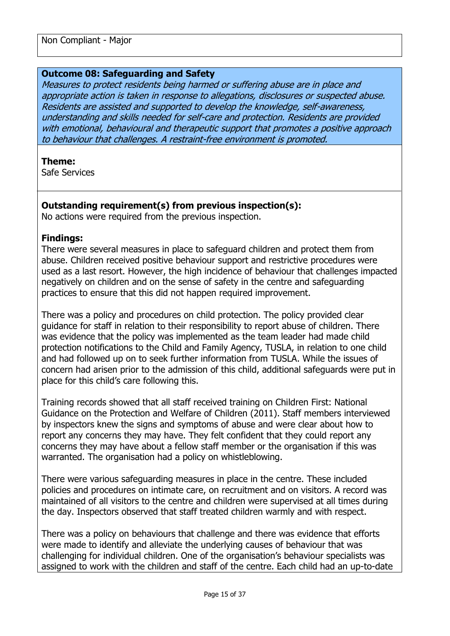#### **Outcome 08: Safeguarding and Safety**

Measures to protect residents being harmed or suffering abuse are in place and appropriate action is taken in response to allegations, disclosures or suspected abuse. Residents are assisted and supported to develop the knowledge, self-awareness, understanding and skills needed for self-care and protection. Residents are provided with emotional, behavioural and therapeutic support that promotes a positive approach to behaviour that challenges. A restraint-free environment is promoted.

#### **Theme:**

Safe Services

#### **Outstanding requirement(s) from previous inspection(s):**

No actions were required from the previous inspection.

#### **Findings:**

There were several measures in place to safeguard children and protect them from abuse. Children received positive behaviour support and restrictive procedures were used as a last resort. However, the high incidence of behaviour that challenges impacted negatively on children and on the sense of safety in the centre and safeguarding practices to ensure that this did not happen required improvement.

There was a policy and procedures on child protection. The policy provided clear guidance for staff in relation to their responsibility to report abuse of children. There was evidence that the policy was implemented as the team leader had made child protection notifications to the Child and Family Agency, TUSLA, in relation to one child and had followed up on to seek further information from TUSLA. While the issues of concern had arisen prior to the admission of this child, additional safeguards were put in place for this child's care following this.

Training records showed that all staff received training on Children First: National Guidance on the Protection and Welfare of Children (2011). Staff members interviewed by inspectors knew the signs and symptoms of abuse and were clear about how to report any concerns they may have. They felt confident that they could report any concerns they may have about a fellow staff member or the organisation if this was warranted. The organisation had a policy on whistleblowing.

There were various safeguarding measures in place in the centre. These included policies and procedures on intimate care, on recruitment and on visitors. A record was maintained of all visitors to the centre and children were supervised at all times during the day. Inspectors observed that staff treated children warmly and with respect.

There was a policy on behaviours that challenge and there was evidence that efforts were made to identify and alleviate the underlying causes of behaviour that was challenging for individual children. One of the organisation's behaviour specialists was assigned to work with the children and staff of the centre. Each child had an up-to-date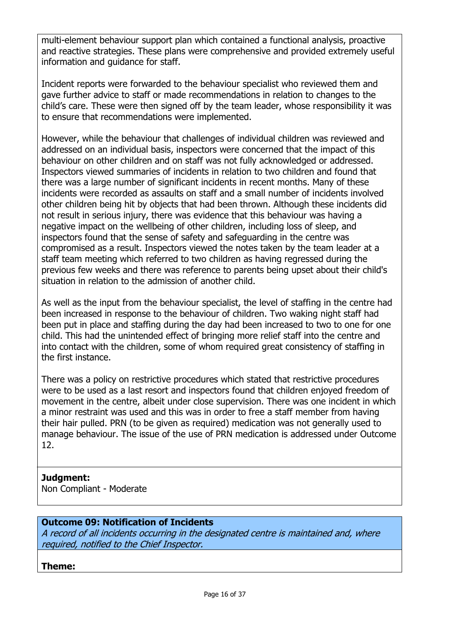multi-element behaviour support plan which contained a functional analysis, proactive and reactive strategies. These plans were comprehensive and provided extremely useful information and guidance for staff.

Incident reports were forwarded to the behaviour specialist who reviewed them and gave further advice to staff or made recommendations in relation to changes to the child's care. These were then signed off by the team leader, whose responsibility it was to ensure that recommendations were implemented.

However, while the behaviour that challenges of individual children was reviewed and addressed on an individual basis, inspectors were concerned that the impact of this behaviour on other children and on staff was not fully acknowledged or addressed. Inspectors viewed summaries of incidents in relation to two children and found that there was a large number of significant incidents in recent months. Many of these incidents were recorded as assaults on staff and a small number of incidents involved other children being hit by objects that had been thrown. Although these incidents did not result in serious injury, there was evidence that this behaviour was having a negative impact on the wellbeing of other children, including loss of sleep, and inspectors found that the sense of safety and safeguarding in the centre was compromised as a result. Inspectors viewed the notes taken by the team leader at a staff team meeting which referred to two children as having regressed during the previous few weeks and there was reference to parents being upset about their child's situation in relation to the admission of another child.

As well as the input from the behaviour specialist, the level of staffing in the centre had been increased in response to the behaviour of children. Two waking night staff had been put in place and staffing during the day had been increased to two to one for one child. This had the unintended effect of bringing more relief staff into the centre and into contact with the children, some of whom required great consistency of staffing in the first instance.

There was a policy on restrictive procedures which stated that restrictive procedures were to be used as a last resort and inspectors found that children enjoyed freedom of movement in the centre, albeit under close supervision. There was one incident in which a minor restraint was used and this was in order to free a staff member from having their hair pulled. PRN (to be given as required) medication was not generally used to manage behaviour. The issue of the use of PRN medication is addressed under Outcome 12.

# **Judgment:**

Non Compliant - Moderate

# **Outcome 09: Notification of Incidents**

A record of all incidents occurring in the designated centre is maintained and, where required, notified to the Chief Inspector.

**Theme:**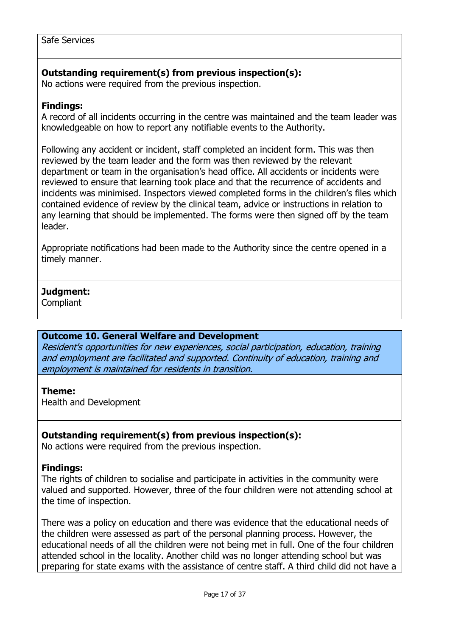# **Outstanding requirement(s) from previous inspection(s):**

No actions were required from the previous inspection.

### **Findings:**

A record of all incidents occurring in the centre was maintained and the team leader was knowledgeable on how to report any notifiable events to the Authority.

Following any accident or incident, staff completed an incident form. This was then reviewed by the team leader and the form was then reviewed by the relevant department or team in the organisation's head office. All accidents or incidents were reviewed to ensure that learning took place and that the recurrence of accidents and incidents was minimised. Inspectors viewed completed forms in the children's files which contained evidence of review by the clinical team, advice or instructions in relation to any learning that should be implemented. The forms were then signed off by the team leader.

Appropriate notifications had been made to the Authority since the centre opened in a timely manner.

# **Judgment:**

**Compliant** 

### **Outcome 10. General Welfare and Development**

Resident's opportunities for new experiences, social participation, education, training and employment are facilitated and supported. Continuity of education, training and employment is maintained for residents in transition.

### **Theme:**

Health and Development

### **Outstanding requirement(s) from previous inspection(s):**

No actions were required from the previous inspection.

### **Findings:**

The rights of children to socialise and participate in activities in the community were valued and supported. However, three of the four children were not attending school at the time of inspection.

There was a policy on education and there was evidence that the educational needs of the children were assessed as part of the personal planning process. However, the educational needs of all the children were not being met in full. One of the four children attended school in the locality. Another child was no longer attending school but was preparing for state exams with the assistance of centre staff. A third child did not have a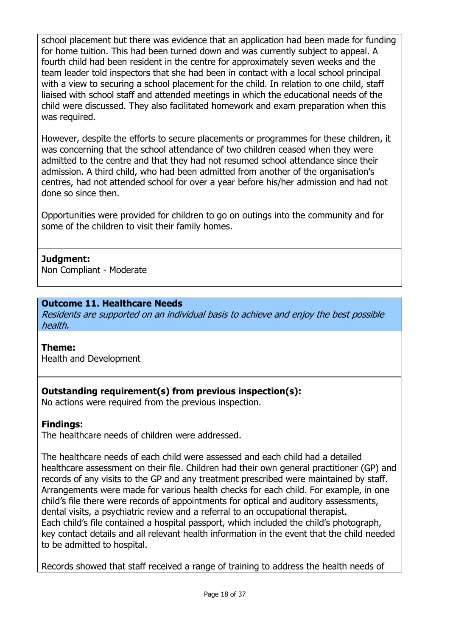school placement but there was evidence that an application had been made for funding for home tuition. This had been turned down and was currently subject to appeal. A fourth child had been resident in the centre for approximately seven weeks and the team leader told inspectors that she had been in contact with a local school principal with a view to securing a school placement for the child. In relation to one child, staff liaised with school staff and attended meetings in which the educational needs of the child were discussed. They also facilitated homework and exam preparation when this was required.

However, despite the efforts to secure placements or programmes for these children, it was concerning that the school attendance of two children ceased when they were admitted to the centre and that they had not resumed school attendance since their admission. A third child, who had been admitted from another of the organisation's centres, had not attended school for over a year before his/her admission and had not done so since then.

Opportunities were provided for children to go on outings into the community and for some of the children to visit their family homes.

# **Judgment:**

Non Compliant - Moderate

# **Outcome 11. Healthcare Needs**

Residents are supported on an individual basis to achieve and enjoy the best possible health.

### **Theme:**

Health and Development

# **Outstanding requirement(s) from previous inspection(s):**

No actions were required from the previous inspection.

### **Findings:**

The healthcare needs of children were addressed.

The healthcare needs of each child were assessed and each child had a detailed healthcare assessment on their file. Children had their own general practitioner (GP) and records of any visits to the GP and any treatment prescribed were maintained by staff. Arrangements were made for various health checks for each child. For example, in one child's file there were records of appointments for optical and auditory assessments, dental visits, a psychiatric review and a referral to an occupational therapist. Each child's file contained a hospital passport, which included the child's photograph, key contact details and all relevant health information in the event that the child needed to be admitted to hospital.

Records showed that staff received a range of training to address the health needs of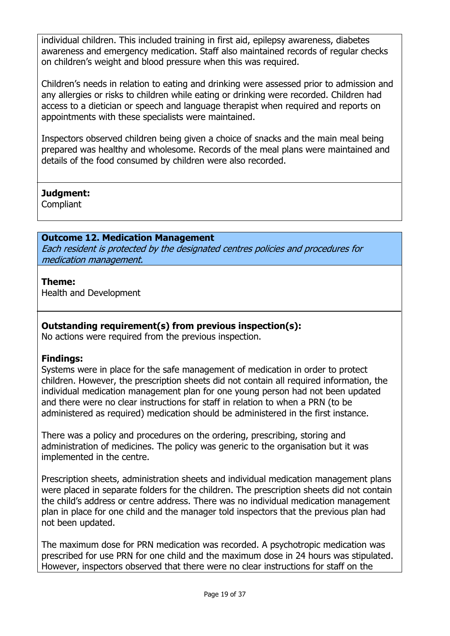individual children. This included training in first aid, epilepsy awareness, diabetes awareness and emergency medication. Staff also maintained records of regular checks on children's weight and blood pressure when this was required.

Children's needs in relation to eating and drinking were assessed prior to admission and any allergies or risks to children while eating or drinking were recorded. Children had access to a dietician or speech and language therapist when required and reports on appointments with these specialists were maintained.

Inspectors observed children being given a choice of snacks and the main meal being prepared was healthy and wholesome. Records of the meal plans were maintained and details of the food consumed by children were also recorded.

### **Judgment:**

**Compliant** 

# **Outcome 12. Medication Management**

Each resident is protected by the designated centres policies and procedures for medication management.

# **Theme:**

Health and Development

# **Outstanding requirement(s) from previous inspection(s):**

No actions were required from the previous inspection.

# **Findings:**

Systems were in place for the safe management of medication in order to protect children. However, the prescription sheets did not contain all required information, the individual medication management plan for one young person had not been updated and there were no clear instructions for staff in relation to when a PRN (to be administered as required) medication should be administered in the first instance.

There was a policy and procedures on the ordering, prescribing, storing and administration of medicines. The policy was generic to the organisation but it was implemented in the centre.

Prescription sheets, administration sheets and individual medication management plans were placed in separate folders for the children. The prescription sheets did not contain the child's address or centre address. There was no individual medication management plan in place for one child and the manager told inspectors that the previous plan had not been updated.

The maximum dose for PRN medication was recorded. A psychotropic medication was prescribed for use PRN for one child and the maximum dose in 24 hours was stipulated. However, inspectors observed that there were no clear instructions for staff on the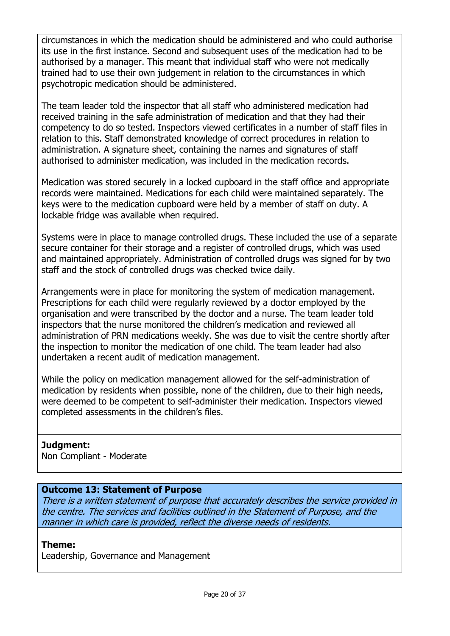circumstances in which the medication should be administered and who could authorise its use in the first instance. Second and subsequent uses of the medication had to be authorised by a manager. This meant that individual staff who were not medically trained had to use their own judgement in relation to the circumstances in which psychotropic medication should be administered.

The team leader told the inspector that all staff who administered medication had received training in the safe administration of medication and that they had their competency to do so tested. Inspectors viewed certificates in a number of staff files in relation to this. Staff demonstrated knowledge of correct procedures in relation to administration. A signature sheet, containing the names and signatures of staff authorised to administer medication, was included in the medication records.

Medication was stored securely in a locked cupboard in the staff office and appropriate records were maintained. Medications for each child were maintained separately. The keys were to the medication cupboard were held by a member of staff on duty. A lockable fridge was available when required.

Systems were in place to manage controlled drugs. These included the use of a separate secure container for their storage and a register of controlled drugs, which was used and maintained appropriately. Administration of controlled drugs was signed for by two staff and the stock of controlled drugs was checked twice daily.

Arrangements were in place for monitoring the system of medication management. Prescriptions for each child were regularly reviewed by a doctor employed by the organisation and were transcribed by the doctor and a nurse. The team leader told inspectors that the nurse monitored the children's medication and reviewed all administration of PRN medications weekly. She was due to visit the centre shortly after the inspection to monitor the medication of one child. The team leader had also undertaken a recent audit of medication management.

While the policy on medication management allowed for the self-administration of medication by residents when possible, none of the children, due to their high needs, were deemed to be competent to self-administer their medication. Inspectors viewed completed assessments in the children's files.

### **Judgment:**

Non Compliant - Moderate

# **Outcome 13: Statement of Purpose**

There is a written statement of purpose that accurately describes the service provided in the centre. The services and facilities outlined in the Statement of Purpose, and the manner in which care is provided, reflect the diverse needs of residents.

### **Theme:**

Leadership, Governance and Management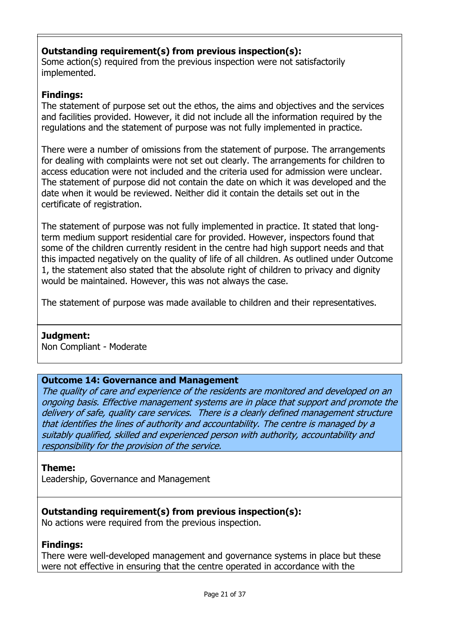# **Outstanding requirement(s) from previous inspection(s):**

Some action(s) required from the previous inspection were not satisfactorily implemented.

# **Findings:**

The statement of purpose set out the ethos, the aims and objectives and the services and facilities provided. However, it did not include all the information required by the regulations and the statement of purpose was not fully implemented in practice.

There were a number of omissions from the statement of purpose. The arrangements for dealing with complaints were not set out clearly. The arrangements for children to access education were not included and the criteria used for admission were unclear. The statement of purpose did not contain the date on which it was developed and the date when it would be reviewed. Neither did it contain the details set out in the certificate of registration.

The statement of purpose was not fully implemented in practice. It stated that longterm medium support residential care for provided. However, inspectors found that some of the children currently resident in the centre had high support needs and that this impacted negatively on the quality of life of all children. As outlined under Outcome 1, the statement also stated that the absolute right of children to privacy and dignity would be maintained. However, this was not always the case.

The statement of purpose was made available to children and their representatives.

### **Judgment:**

Non Compliant - Moderate

### **Outcome 14: Governance and Management**

The quality of care and experience of the residents are monitored and developed on an ongoing basis. Effective management systems are in place that support and promote the delivery of safe, quality care services. There is a clearly defined management structure that identifies the lines of authority and accountability. The centre is managed by a suitably qualified, skilled and experienced person with authority, accountability and responsibility for the provision of the service.

### **Theme:**

Leadership, Governance and Management

### **Outstanding requirement(s) from previous inspection(s):**

No actions were required from the previous inspection.

### **Findings:**

There were well-developed management and governance systems in place but these were not effective in ensuring that the centre operated in accordance with the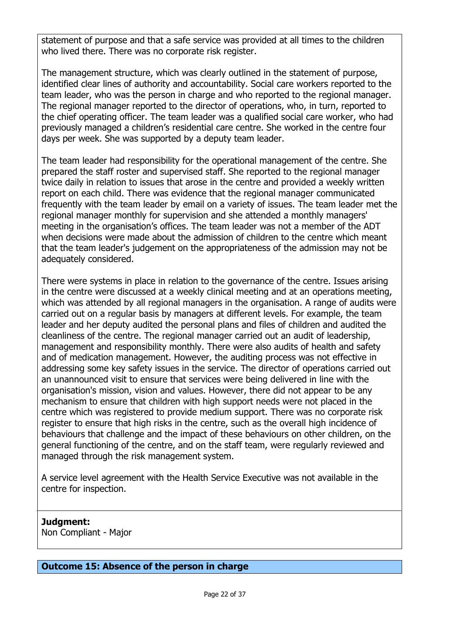statement of purpose and that a safe service was provided at all times to the children who lived there. There was no corporate risk register.

The management structure, which was clearly outlined in the statement of purpose, identified clear lines of authority and accountability. Social care workers reported to the team leader, who was the person in charge and who reported to the regional manager. The regional manager reported to the director of operations, who, in turn, reported to the chief operating officer. The team leader was a qualified social care worker, who had previously managed a children's residential care centre. She worked in the centre four days per week. She was supported by a deputy team leader.

The team leader had responsibility for the operational management of the centre. She prepared the staff roster and supervised staff. She reported to the regional manager twice daily in relation to issues that arose in the centre and provided a weekly written report on each child. There was evidence that the regional manager communicated frequently with the team leader by email on a variety of issues. The team leader met the regional manager monthly for supervision and she attended a monthly managers' meeting in the organisation's offices. The team leader was not a member of the ADT when decisions were made about the admission of children to the centre which meant that the team leader's judgement on the appropriateness of the admission may not be adequately considered.

There were systems in place in relation to the governance of the centre. Issues arising in the centre were discussed at a weekly clinical meeting and at an operations meeting, which was attended by all regional managers in the organisation. A range of audits were carried out on a regular basis by managers at different levels. For example, the team leader and her deputy audited the personal plans and files of children and audited the cleanliness of the centre. The regional manager carried out an audit of leadership, management and responsibility monthly. There were also audits of health and safety and of medication management. However, the auditing process was not effective in addressing some key safety issues in the service. The director of operations carried out an unannounced visit to ensure that services were being delivered in line with the organisation's mission, vision and values. However, there did not appear to be any mechanism to ensure that children with high support needs were not placed in the centre which was registered to provide medium support. There was no corporate risk register to ensure that high risks in the centre, such as the overall high incidence of behaviours that challenge and the impact of these behaviours on other children, on the general functioning of the centre, and on the staff team, were regularly reviewed and managed through the risk management system.

A service level agreement with the Health Service Executive was not available in the centre for inspection.

# **Judgment:**

Non Compliant - Major

#### **Outcome 15: Absence of the person in charge**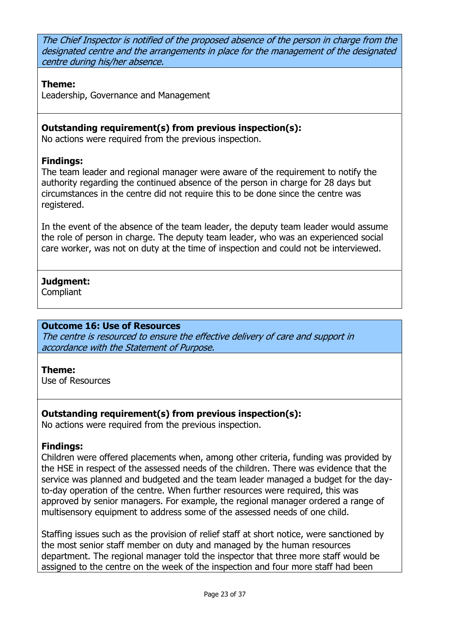The Chief Inspector is notified of the proposed absence of the person in charge from the designated centre and the arrangements in place for the management of the designated centre during his/her absence.

### **Theme:**

Leadership, Governance and Management

# **Outstanding requirement(s) from previous inspection(s):**

No actions were required from the previous inspection.

# **Findings:**

The team leader and regional manager were aware of the requirement to notify the authority regarding the continued absence of the person in charge for 28 days but circumstances in the centre did not require this to be done since the centre was registered.

In the event of the absence of the team leader, the deputy team leader would assume the role of person in charge. The deputy team leader, who was an experienced social care worker, was not on duty at the time of inspection and could not be interviewed.

# **Judgment:**

**Compliant** 

### **Outcome 16: Use of Resources**

The centre is resourced to ensure the effective delivery of care and support in accordance with the Statement of Purpose.

### **Theme:**

Use of Resources

# **Outstanding requirement(s) from previous inspection(s):**

No actions were required from the previous inspection.

# **Findings:**

Children were offered placements when, among other criteria, funding was provided by the HSE in respect of the assessed needs of the children. There was evidence that the service was planned and budgeted and the team leader managed a budget for the dayto-day operation of the centre. When further resources were required, this was approved by senior managers. For example, the regional manager ordered a range of multisensory equipment to address some of the assessed needs of one child.

Staffing issues such as the provision of relief staff at short notice, were sanctioned by the most senior staff member on duty and managed by the human resources department. The regional manager told the inspector that three more staff would be assigned to the centre on the week of the inspection and four more staff had been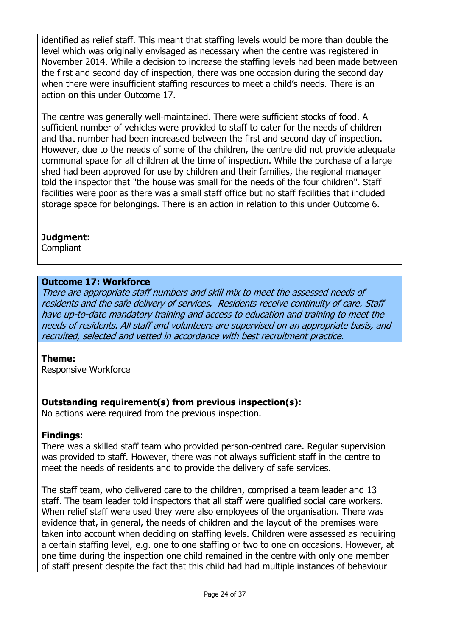identified as relief staff. This meant that staffing levels would be more than double the level which was originally envisaged as necessary when the centre was registered in November 2014. While a decision to increase the staffing levels had been made between the first and second day of inspection, there was one occasion during the second day when there were insufficient staffing resources to meet a child's needs. There is an action on this under Outcome 17.

The centre was generally well-maintained. There were sufficient stocks of food. A sufficient number of vehicles were provided to staff to cater for the needs of children and that number had been increased between the first and second day of inspection. However, due to the needs of some of the children, the centre did not provide adequate communal space for all children at the time of inspection. While the purchase of a large shed had been approved for use by children and their families, the regional manager told the inspector that "the house was small for the needs of the four children". Staff facilities were poor as there was a small staff office but no staff facilities that included storage space for belongings. There is an action in relation to this under Outcome 6.

### **Judgment:**

**Compliant** 

### **Outcome 17: Workforce**

There are appropriate staff numbers and skill mix to meet the assessed needs of residents and the safe delivery of services. Residents receive continuity of care. Staff have up-to-date mandatory training and access to education and training to meet the needs of residents. All staff and volunteers are supervised on an appropriate basis, and recruited, selected and vetted in accordance with best recruitment practice.

### **Theme:**

Responsive Workforce

### **Outstanding requirement(s) from previous inspection(s):**

No actions were required from the previous inspection.

### **Findings:**

There was a skilled staff team who provided person-centred care. Regular supervision was provided to staff. However, there was not always sufficient staff in the centre to meet the needs of residents and to provide the delivery of safe services.

The staff team, who delivered care to the children, comprised a team leader and 13 staff. The team leader told inspectors that all staff were qualified social care workers. When relief staff were used they were also employees of the organisation. There was evidence that, in general, the needs of children and the layout of the premises were taken into account when deciding on staffing levels. Children were assessed as requiring a certain staffing level, e.g. one to one staffing or two to one on occasions. However, at one time during the inspection one child remained in the centre with only one member of staff present despite the fact that this child had had multiple instances of behaviour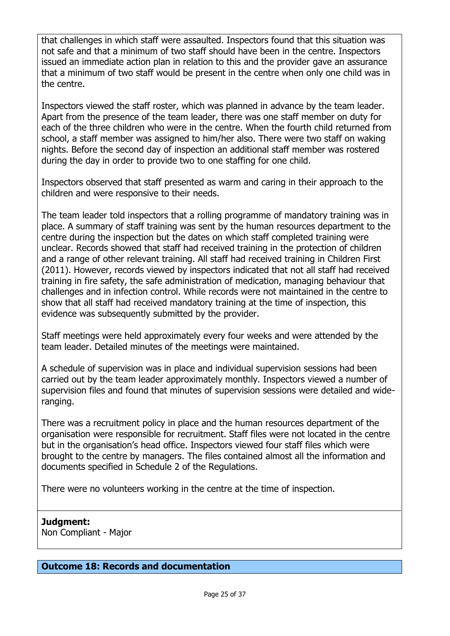that challenges in which staff were assaulted. Inspectors found that this situation was not safe and that a minimum of two staff should have been in the centre. Inspectors issued an immediate action plan in relation to this and the provider gave an assurance that a minimum of two staff would be present in the centre when only one child was in the centre.

Inspectors viewed the staff roster, which was planned in advance by the team leader. Apart from the presence of the team leader, there was one staff member on duty for each of the three children who were in the centre. When the fourth child returned from school, a staff member was assigned to him/her also. There were two staff on waking nights. Before the second day of inspection an additional staff member was rostered during the day in order to provide two to one staffing for one child.

Inspectors observed that staff presented as warm and caring in their approach to the children and were responsive to their needs.

The team leader told inspectors that a rolling programme of mandatory training was in place. A summary of staff training was sent by the human resources department to the centre during the inspection but the dates on which staff completed training were unclear. Records showed that staff had received training in the protection of children and a range of other relevant training. All staff had received training in Children First (2011). However, records viewed by inspectors indicated that not all staff had received training in fire safety, the safe administration of medication, managing behaviour that challenges and in infection control. While records were not maintained in the centre to show that all staff had received mandatory training at the time of inspection, this evidence was subsequently submitted by the provider.

Staff meetings were held approximately every four weeks and were attended by the team leader. Detailed minutes of the meetings were maintained.

A schedule of supervision was in place and individual supervision sessions had been carried out by the team leader approximately monthly. Inspectors viewed a number of supervision files and found that minutes of supervision sessions were detailed and wideranging.

There was a recruitment policy in place and the human resources department of the organisation were responsible for recruitment. Staff files were not located in the centre but in the organisation's head office. Inspectors viewed four staff files which were brought to the centre by managers. The files contained almost all the information and documents specified in Schedule 2 of the Regulations.

There were no volunteers working in the centre at the time of inspection.

# **Judgment:**

Non Compliant - Major

### **Outcome 18: Records and documentation**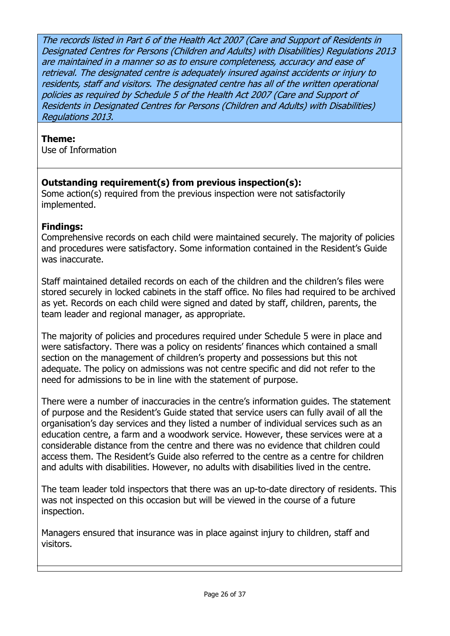The records listed in Part 6 of the Health Act 2007 (Care and Support of Residents in Designated Centres for Persons (Children and Adults) with Disabilities) Regulations 2013 are maintained in a manner so as to ensure completeness, accuracy and ease of retrieval. The designated centre is adequately insured against accidents or injury to residents, staff and visitors. The designated centre has all of the written operational policies as required by Schedule 5 of the Health Act 2007 (Care and Support of Residents in Designated Centres for Persons (Children and Adults) with Disabilities) Regulations 2013.

# **Theme:**

Use of Information

# **Outstanding requirement(s) from previous inspection(s):**

Some action(s) required from the previous inspection were not satisfactorily implemented.

# **Findings:**

Comprehensive records on each child were maintained securely. The majority of policies and procedures were satisfactory. Some information contained in the Resident's Guide was inaccurate.

Staff maintained detailed records on each of the children and the children's files were stored securely in locked cabinets in the staff office. No files had required to be archived as yet. Records on each child were signed and dated by staff, children, parents, the team leader and regional manager, as appropriate.

The majority of policies and procedures required under Schedule 5 were in place and were satisfactory. There was a policy on residents' finances which contained a small section on the management of children's property and possessions but this not adequate. The policy on admissions was not centre specific and did not refer to the need for admissions to be in line with the statement of purpose.

There were a number of inaccuracies in the centre's information guides. The statement of purpose and the Resident's Guide stated that service users can fully avail of all the organisation's day services and they listed a number of individual services such as an education centre, a farm and a woodwork service. However, these services were at a considerable distance from the centre and there was no evidence that children could access them. The Resident's Guide also referred to the centre as a centre for children and adults with disabilities. However, no adults with disabilities lived in the centre.

The team leader told inspectors that there was an up-to-date directory of residents. This was not inspected on this occasion but will be viewed in the course of a future inspection.

Managers ensured that insurance was in place against injury to children, staff and visitors.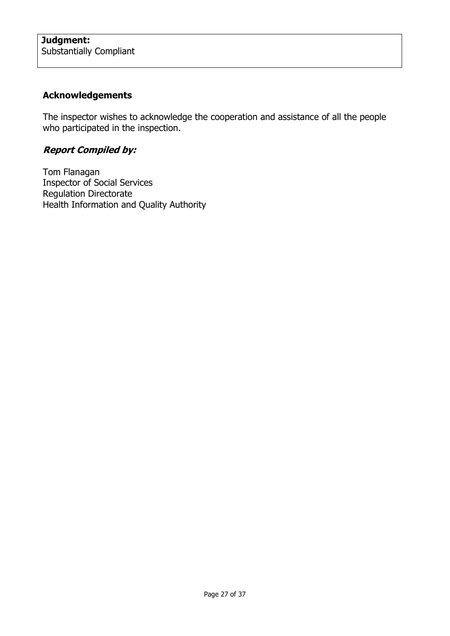# **Acknowledgements**

The inspector wishes to acknowledge the cooperation and assistance of all the people who participated in the inspection.

# **Report Compiled by:**

Tom Flanagan Inspector of Social Services Regulation Directorate Health Information and Quality Authority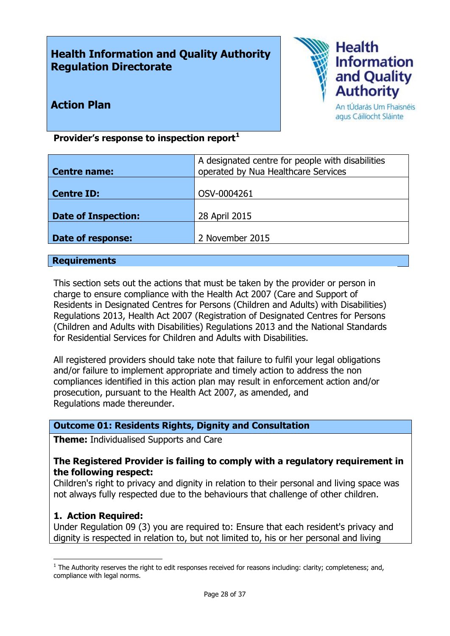# **Health Information and Quality Authority Regulation Directorate**



# **Action Plan**

An tÚdarás Um Fhaisnéis agus Cáilíocht Sláinte

# **Provider's response to inspection report<sup>1</sup>**

| <b>Centre name:</b>        | A designated centre for people with disabilities<br>operated by Nua Healthcare Services |
|----------------------------|-----------------------------------------------------------------------------------------|
| Centre ID:                 | OSV-0004261                                                                             |
| <b>Date of Inspection:</b> | 28 April 2015                                                                           |
| <b>Date of response:</b>   | 2 November 2015                                                                         |

#### **Requirements**

This section sets out the actions that must be taken by the provider or person in charge to ensure compliance with the Health Act 2007 (Care and Support of Residents in Designated Centres for Persons (Children and Adults) with Disabilities) Regulations 2013, Health Act 2007 (Registration of Designated Centres for Persons (Children and Adults with Disabilities) Regulations 2013 and the National Standards for Residential Services for Children and Adults with Disabilities.

All registered providers should take note that failure to fulfil your legal obligations and/or failure to implement appropriate and timely action to address the non compliances identified in this action plan may result in enforcement action and/or prosecution, pursuant to the Health Act 2007, as amended, and Regulations made thereunder.

#### **Outcome 01: Residents Rights, Dignity and Consultation**

**Theme:** Individualised Supports and Care

#### **The Registered Provider is failing to comply with a regulatory requirement in the following respect:**

Children's right to privacy and dignity in relation to their personal and living space was not always fully respected due to the behaviours that challenge of other children.

### **1. Action Required:**

 $\overline{a}$ 

Under Regulation 09 (3) you are required to: Ensure that each resident's privacy and dignity is respected in relation to, but not limited to, his or her personal and living

 $<sup>1</sup>$  The Authority reserves the right to edit responses received for reasons including: clarity; completeness; and,</sup> compliance with legal norms.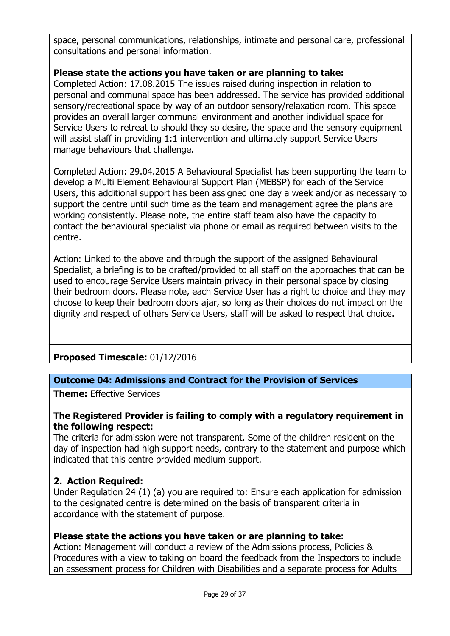space, personal communications, relationships, intimate and personal care, professional consultations and personal information.

# **Please state the actions you have taken or are planning to take:**

Completed Action: 17.08.2015 The issues raised during inspection in relation to personal and communal space has been addressed. The service has provided additional sensory/recreational space by way of an outdoor sensory/relaxation room. This space provides an overall larger communal environment and another individual space for Service Users to retreat to should they so desire, the space and the sensory equipment will assist staff in providing 1:1 intervention and ultimately support Service Users manage behaviours that challenge.

Completed Action: 29.04.2015 A Behavioural Specialist has been supporting the team to develop a Multi Element Behavioural Support Plan (MEBSP) for each of the Service Users, this additional support has been assigned one day a week and/or as necessary to support the centre until such time as the team and management agree the plans are working consistently. Please note, the entire staff team also have the capacity to contact the behavioural specialist via phone or email as required between visits to the centre.

Action: Linked to the above and through the support of the assigned Behavioural Specialist, a briefing is to be drafted/provided to all staff on the approaches that can be used to encourage Service Users maintain privacy in their personal space by closing their bedroom doors. Please note, each Service User has a right to choice and they may choose to keep their bedroom doors ajar, so long as their choices do not impact on the dignity and respect of others Service Users, staff will be asked to respect that choice.

**Proposed Timescale:** 01/12/2016

### **Outcome 04: Admissions and Contract for the Provision of Services**

**Theme:** Effective Services

### **The Registered Provider is failing to comply with a regulatory requirement in the following respect:**

The criteria for admission were not transparent. Some of the children resident on the day of inspection had high support needs, contrary to the statement and purpose which indicated that this centre provided medium support.

# **2. Action Required:**

Under Regulation 24 (1) (a) you are required to: Ensure each application for admission to the designated centre is determined on the basis of transparent criteria in accordance with the statement of purpose.

### **Please state the actions you have taken or are planning to take:**

Action: Management will conduct a review of the Admissions process, Policies & Procedures with a view to taking on board the feedback from the Inspectors to include an assessment process for Children with Disabilities and a separate process for Adults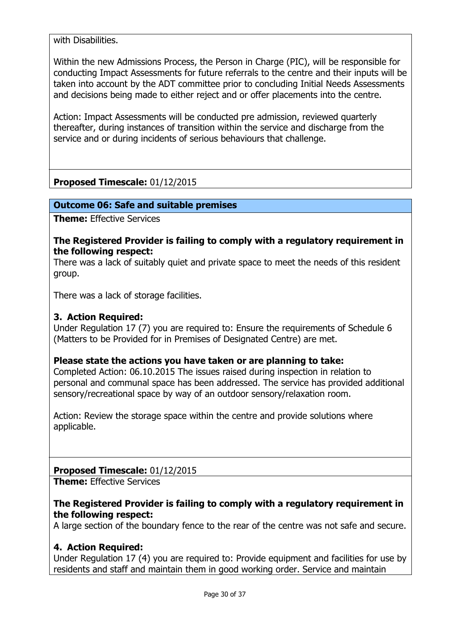with Disabilities.

Within the new Admissions Process, the Person in Charge (PIC), will be responsible for conducting Impact Assessments for future referrals to the centre and their inputs will be taken into account by the ADT committee prior to concluding Initial Needs Assessments and decisions being made to either reject and or offer placements into the centre.

Action: Impact Assessments will be conducted pre admission, reviewed quarterly thereafter, during instances of transition within the service and discharge from the service and or during incidents of serious behaviours that challenge.

# **Proposed Timescale:** 01/12/2015

#### **Outcome 06: Safe and suitable premises**

**Theme:** Effective Services

#### **The Registered Provider is failing to comply with a regulatory requirement in the following respect:**

There was a lack of suitably quiet and private space to meet the needs of this resident group.

There was a lack of storage facilities.

#### **3. Action Required:**

Under Regulation 17 (7) you are required to: Ensure the requirements of Schedule 6 (Matters to be Provided for in Premises of Designated Centre) are met.

#### **Please state the actions you have taken or are planning to take:**

Completed Action: 06.10.2015 The issues raised during inspection in relation to personal and communal space has been addressed. The service has provided additional sensory/recreational space by way of an outdoor sensory/relaxation room.

Action: Review the storage space within the centre and provide solutions where applicable.

**Proposed Timescale:** 01/12/2015

**Theme:** Effective Services

#### **The Registered Provider is failing to comply with a regulatory requirement in the following respect:**

A large section of the boundary fence to the rear of the centre was not safe and secure.

### **4. Action Required:**

Under Regulation 17 (4) you are required to: Provide equipment and facilities for use by residents and staff and maintain them in good working order. Service and maintain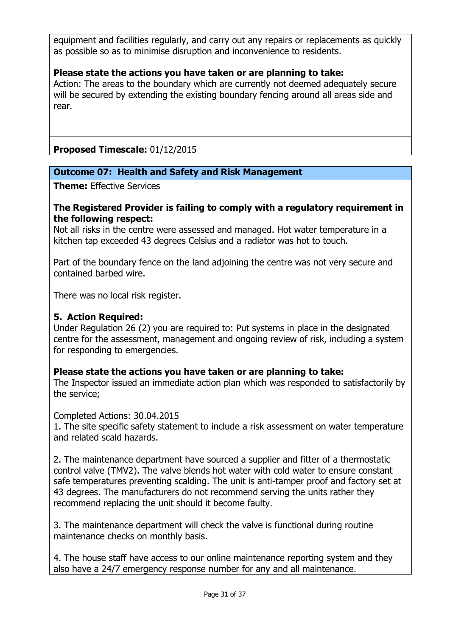equipment and facilities regularly, and carry out any repairs or replacements as quickly as possible so as to minimise disruption and inconvenience to residents.

### **Please state the actions you have taken or are planning to take:**

Action: The areas to the boundary which are currently not deemed adequately secure will be secured by extending the existing boundary fencing around all areas side and rear.

**Proposed Timescale:** 01/12/2015

### **Outcome 07: Health and Safety and Risk Management**

**Theme:** Effective Services

#### **The Registered Provider is failing to comply with a regulatory requirement in the following respect:**

Not all risks in the centre were assessed and managed. Hot water temperature in a kitchen tap exceeded 43 degrees Celsius and a radiator was hot to touch.

Part of the boundary fence on the land adjoining the centre was not very secure and contained barbed wire.

There was no local risk register.

### **5. Action Required:**

Under Regulation 26 (2) you are required to: Put systems in place in the designated centre for the assessment, management and ongoing review of risk, including a system for responding to emergencies.

### **Please state the actions you have taken or are planning to take:**

The Inspector issued an immediate action plan which was responded to satisfactorily by the service;

Completed Actions: 30.04.2015

1. The site specific safety statement to include a risk assessment on water temperature and related scald hazards.

2. The maintenance department have sourced a supplier and fitter of a thermostatic control valve (TMV2). The valve blends hot water with cold water to ensure constant safe temperatures preventing scalding. The unit is anti-tamper proof and factory set at 43 degrees. The manufacturers do not recommend serving the units rather they recommend replacing the unit should it become faulty.

3. The maintenance department will check the valve is functional during routine maintenance checks on monthly basis.

4. The house staff have access to our online maintenance reporting system and they also have a 24/7 emergency response number for any and all maintenance.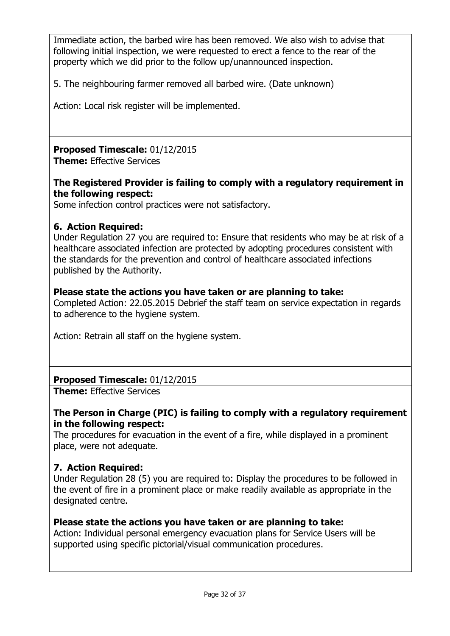Immediate action, the barbed wire has been removed. We also wish to advise that following initial inspection, we were requested to erect a fence to the rear of the property which we did prior to the follow up/unannounced inspection.

5. The neighbouring farmer removed all barbed wire. (Date unknown)

Action: Local risk register will be implemented.

**Proposed Timescale:** 01/12/2015

**Theme:** Effective Services

# **The Registered Provider is failing to comply with a regulatory requirement in the following respect:**

Some infection control practices were not satisfactory.

# **6. Action Required:**

Under Regulation 27 you are required to: Ensure that residents who may be at risk of a healthcare associated infection are protected by adopting procedures consistent with the standards for the prevention and control of healthcare associated infections published by the Authority.

### **Please state the actions you have taken or are planning to take:**

Completed Action: 22.05.2015 Debrief the staff team on service expectation in regards to adherence to the hygiene system.

Action: Retrain all staff on the hygiene system.

# **Proposed Timescale:** 01/12/2015

**Theme:** Effective Services

# **The Person in Charge (PIC) is failing to comply with a regulatory requirement in the following respect:**

The procedures for evacuation in the event of a fire, while displayed in a prominent place, were not adequate.

# **7. Action Required:**

Under Regulation 28 (5) you are required to: Display the procedures to be followed in the event of fire in a prominent place or make readily available as appropriate in the designated centre.

# **Please state the actions you have taken or are planning to take:**

Action: Individual personal emergency evacuation plans for Service Users will be supported using specific pictorial/visual communication procedures.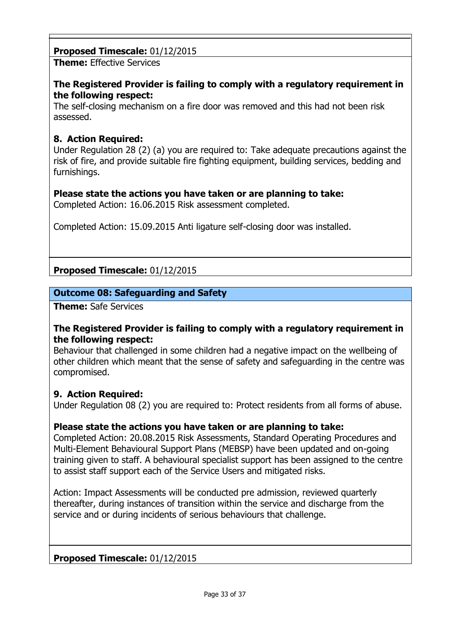# **Proposed Timescale:** 01/12/2015

**Theme:** Effective Services

### **The Registered Provider is failing to comply with a regulatory requirement in the following respect:**

The self-closing mechanism on a fire door was removed and this had not been risk assessed.

# **8. Action Required:**

Under Regulation 28 (2) (a) you are required to: Take adequate precautions against the risk of fire, and provide suitable fire fighting equipment, building services, bedding and furnishings.

# **Please state the actions you have taken or are planning to take:**

Completed Action: 16.06.2015 Risk assessment completed.

Completed Action: 15.09.2015 Anti ligature self-closing door was installed.

**Proposed Timescale:** 01/12/2015

# **Outcome 08: Safeguarding and Safety**

**Theme:** Safe Services

#### **The Registered Provider is failing to comply with a regulatory requirement in the following respect:**

Behaviour that challenged in some children had a negative impact on the wellbeing of other children which meant that the sense of safety and safeguarding in the centre was compromised.

### **9. Action Required:**

Under Regulation 08 (2) you are required to: Protect residents from all forms of abuse.

### **Please state the actions you have taken or are planning to take:**

Completed Action: 20.08.2015 Risk Assessments, Standard Operating Procedures and Multi-Element Behavioural Support Plans (MEBSP) have been updated and on-going training given to staff. A behavioural specialist support has been assigned to the centre to assist staff support each of the Service Users and mitigated risks.

Action: Impact Assessments will be conducted pre admission, reviewed quarterly thereafter, during instances of transition within the service and discharge from the service and or during incidents of serious behaviours that challenge.

**Proposed Timescale:** 01/12/2015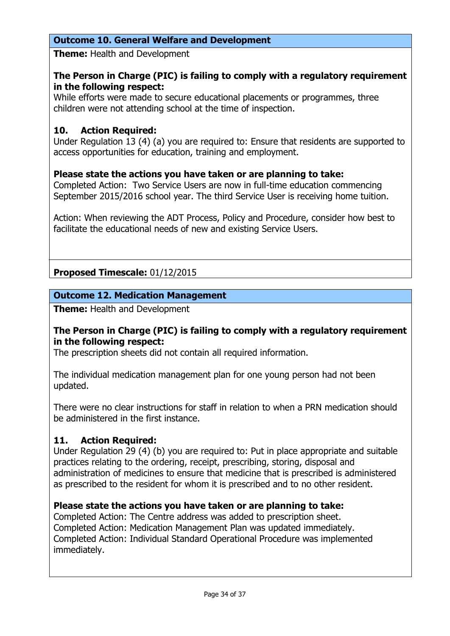# **Outcome 10. General Welfare and Development**

**Theme:** Health and Development

# **The Person in Charge (PIC) is failing to comply with a regulatory requirement in the following respect:**

While efforts were made to secure educational placements or programmes, three children were not attending school at the time of inspection.

### **10. Action Required:**

Under Regulation 13 (4) (a) you are required to: Ensure that residents are supported to access opportunities for education, training and employment.

# **Please state the actions you have taken or are planning to take:**

Completed Action: Two Service Users are now in full-time education commencing September 2015/2016 school year. The third Service User is receiving home tuition.

Action: When reviewing the ADT Process, Policy and Procedure, consider how best to facilitate the educational needs of new and existing Service Users.

# **Proposed Timescale:** 01/12/2015

### **Outcome 12. Medication Management**

**Theme:** Health and Development

### **The Person in Charge (PIC) is failing to comply with a regulatory requirement in the following respect:**

The prescription sheets did not contain all required information.

The individual medication management plan for one young person had not been updated.

There were no clear instructions for staff in relation to when a PRN medication should be administered in the first instance.

### **11. Action Required:**

Under Regulation 29 (4) (b) you are required to: Put in place appropriate and suitable practices relating to the ordering, receipt, prescribing, storing, disposal and administration of medicines to ensure that medicine that is prescribed is administered as prescribed to the resident for whom it is prescribed and to no other resident.

### **Please state the actions you have taken or are planning to take:**

Completed Action: The Centre address was added to prescription sheet. Completed Action: Medication Management Plan was updated immediately. Completed Action: Individual Standard Operational Procedure was implemented immediately.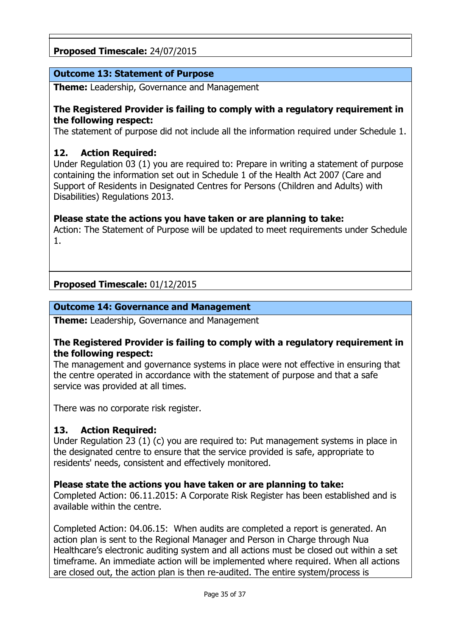# **Proposed Timescale:** 24/07/2015

### **Outcome 13: Statement of Purpose**

**Theme:** Leadership, Governance and Management

### **The Registered Provider is failing to comply with a regulatory requirement in the following respect:**

The statement of purpose did not include all the information required under Schedule 1.

### **12. Action Required:**

Under Regulation 03 (1) you are required to: Prepare in writing a statement of purpose containing the information set out in Schedule 1 of the Health Act 2007 (Care and Support of Residents in Designated Centres for Persons (Children and Adults) with Disabilities) Regulations 2013.

### **Please state the actions you have taken or are planning to take:**

Action: The Statement of Purpose will be updated to meet requirements under Schedule 1.

#### **Proposed Timescale:** 01/12/2015

#### **Outcome 14: Governance and Management**

**Theme:** Leadership, Governance and Management

#### **The Registered Provider is failing to comply with a regulatory requirement in the following respect:**

The management and governance systems in place were not effective in ensuring that the centre operated in accordance with the statement of purpose and that a safe service was provided at all times.

There was no corporate risk register.

### **13. Action Required:**

Under Regulation 23 (1) (c) you are required to: Put management systems in place in the designated centre to ensure that the service provided is safe, appropriate to residents' needs, consistent and effectively monitored.

#### **Please state the actions you have taken or are planning to take:**

Completed Action: 06.11.2015: A Corporate Risk Register has been established and is available within the centre.

Completed Action: 04.06.15: When audits are completed a report is generated. An action plan is sent to the Regional Manager and Person in Charge through Nua Healthcare's electronic auditing system and all actions must be closed out within a set timeframe. An immediate action will be implemented where required. When all actions are closed out, the action plan is then re-audited. The entire system/process is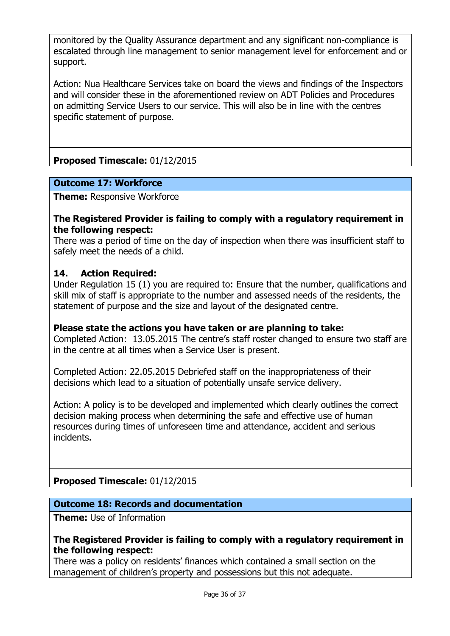monitored by the Quality Assurance department and any significant non-compliance is escalated through line management to senior management level for enforcement and or support.

Action: Nua Healthcare Services take on board the views and findings of the Inspectors and will consider these in the aforementioned review on ADT Policies and Procedures on admitting Service Users to our service. This will also be in line with the centres specific statement of purpose.

**Proposed Timescale:** 01/12/2015

#### **Outcome 17: Workforce**

**Theme: Responsive Workforce** 

#### **The Registered Provider is failing to comply with a regulatory requirement in the following respect:**

There was a period of time on the day of inspection when there was insufficient staff to safely meet the needs of a child.

#### **14. Action Required:**

Under Regulation 15 (1) you are required to: Ensure that the number, qualifications and skill mix of staff is appropriate to the number and assessed needs of the residents, the statement of purpose and the size and layout of the designated centre.

### **Please state the actions you have taken or are planning to take:**

Completed Action: 13.05.2015 The centre's staff roster changed to ensure two staff are in the centre at all times when a Service User is present.

Completed Action: 22.05.2015 Debriefed staff on the inappropriateness of their decisions which lead to a situation of potentially unsafe service delivery.

Action: A policy is to be developed and implemented which clearly outlines the correct decision making process when determining the safe and effective use of human resources during times of unforeseen time and attendance, accident and serious incidents.

# **Proposed Timescale:** 01/12/2015

#### **Outcome 18: Records and documentation**

**Theme:** Use of Information

#### **The Registered Provider is failing to comply with a regulatory requirement in the following respect:**

There was a policy on residents' finances which contained a small section on the management of children's property and possessions but this not adequate.